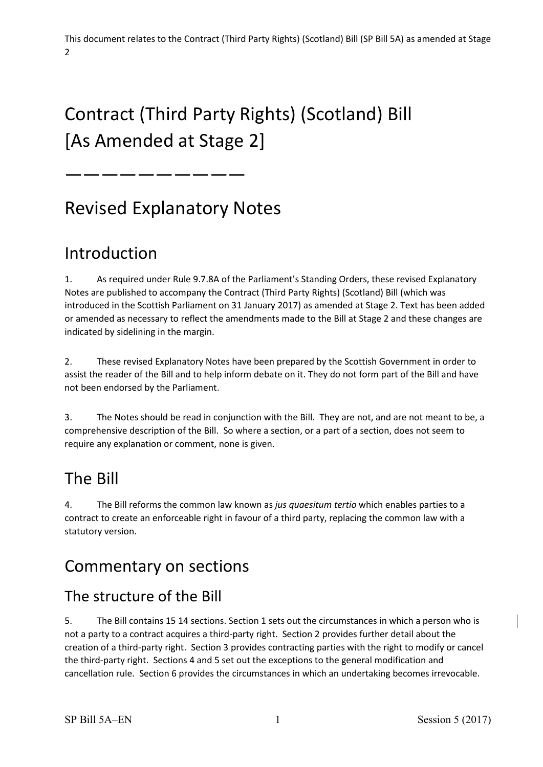# Contract (Third Party Rights) (Scotland) Bill [As Amended at Stage 2]

——————————

# Revised Explanatory Notes

### Introduction

 Notes are published to accompany the Contract (Third Party Rights) (Scotland) Bill (which was indicated by sidelining in the margin. 1. As required under Rule 9.7.8A of the Parliament's Standing Orders, these revised Explanatory introduced in the Scottish Parliament on 31 January 2017) as amended at Stage 2. Text has been added or amended as necessary to reflect the amendments made to the Bill at Stage 2 and these changes are

indicated by sidelining in the margin.<br>2. These revised Explanatory Notes have been prepared by the Scottish Government in order to assist the reader of the Bill and to help inform debate on it. They do not form part of the Bill and have not been endorsed by the Parliament.

 3. The Notes should be read in conjunction with the Bill. They are not, and are not meant to be, a comprehensive description of the Bill. So where a section, or a part of a section, does not seem to require any explanation or comment, none is given.

# The Bill

4. The Bill reforms the common law known as *jus quaesitum tertio* which enables parties to a contract to create an enforceable right in favour of a third party, replacing the common law with a statutory version.

### Commentary on sections

#### The structure of the Bill

 5. The Bill contains 15 14 sections. Section 1 sets out the circumstances in which a person who is not a party to a contract acquires a third-party right. Section 2 provides further detail about the creation of a third-party right. Section 3 provides contracting parties with the right to modify or cancel the third-party right. Sections 4 and 5 set out the exceptions to the general modification and cancellation rule. Section 6 provides the circumstances in which an undertaking becomes irrevocable.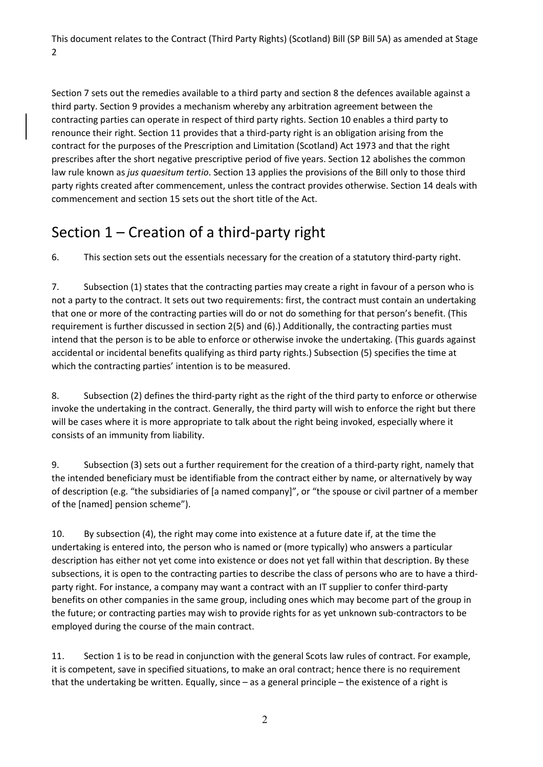third party. Section 9 provides a mechanism whereby any arbitration agreement between the renounce their right. Section 11 provides that a third-party right is an obligation arising from the contract for the purposes of the Prescription and Limitation (Scotland) Act 1973 and that the right law rule known as *jus quaesitum tertio*. Section 13 applies the provisions of the Bill only to those third party rights created after commencement, unless the contract provides otherwise. Section 14 deals with commencement and section 15 sets out the short title of the Act. Section 7 sets out the remedies available to a third party and section 8 the defences available against a contracting parties can operate in respect of third party rights. Section 10 enables a third party to prescribes after the short negative prescriptive period of five years. Section 12 abolishes the common

### Section 1 – Creation of a third-party right

6. This section sets out the essentials necessary for the creation of a statutory third-party right.

 7. Subsection (1) states that the contracting parties may create a right in favour of a person who is that one or more of the contracting parties will do or not do something for that person's benefit. (This requirement is further discussed in section 2(5) and (6).) Additionally, the contracting parties must not a party to the contract. It sets out two requirements: first, the contract must contain an undertaking intend that the person is to be able to enforce or otherwise invoke the undertaking. (This guards against accidental or incidental benefits qualifying as third party rights.) Subsection (5) specifies the time at which the contracting parties' intention is to be measured.

 8. Subsection (2) defines the third-party right as the right of the third party to enforce or otherwise will be cases where it is more appropriate to talk about the right being invoked, especially where it invoke the undertaking in the contract. Generally, the third party will wish to enforce the right but there consists of an immunity from liability.

9. Subsection (3) sets out a further requirement for the creation of a third-party right, namely that the intended beneficiary must be identifiable from the contract either by name, or alternatively by way of description (e.g. "the subsidiaries of [a named company]", or "the spouse or civil partner of a member of the [named] pension scheme").

 undertaking is entered into, the person who is named or (more typically) who answers a particular description has either not yet come into existence or does not yet fall within that description. By these party right. For instance, a company may want a contract with an IT supplier to confer third-party benefits on other companies in the same group, including ones which may become part of the group in the future; or contracting parties may wish to provide rights for as yet unknown sub-contractors to be employed during the course of the main contract. 10. By subsection (4), the right may come into existence at a future date if, at the time the subsections, it is open to the contracting parties to describe the class of persons who are to have a third-

 11. Section 1 is to be read in conjunction with the general Scots law rules of contract. For example, that the undertaking be written. Equally, since – as a general principle – the existence of a right is it is competent, save in specified situations, to make an oral contract; hence there is no requirement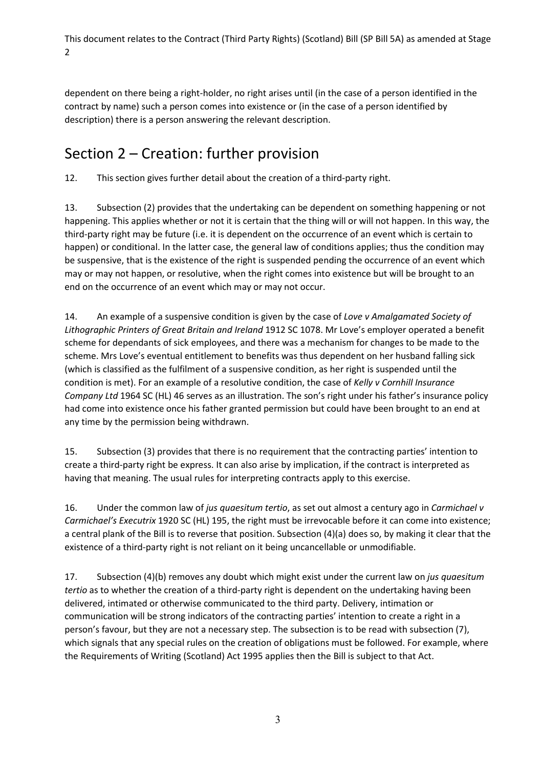dependent on there being a right-holder, no right arises until (in the case of a person identified in the contract by name) such a person comes into existence or (in the case of a person identified by description) there is a person answering the relevant description.

#### Section 2 – Creation: further provision

12. This section gives further detail about the creation of a third-party right.

 13. Subsection (2) provides that the undertaking can be dependent on something happening or not happening. This applies whether or not it is certain that the thing will or will not happen. In this way, the third-party right may be future (i.e. it is dependent on the occurrence of an event which is certain to happen) or conditional. In the latter case, the general law of conditions applies; thus the condition may may or may not happen, or resolutive, when the right comes into existence but will be brought to an end on the occurrence of an event which may or may not occur. be suspensive, that is the existence of the right is suspended pending the occurrence of an event which

 14. An example of a suspensive condition is given by the case of *Love v Amalgamated Society of Lithographic Printers of Great Britain and Ireland* 1912 SC 1078. Mr Love's employer operated a benefit scheme for dependants of sick employees, and there was a mechanism for changes to be made to the (which is classified as the fulfilment of a suspensive condition, as her right is suspended until the had come into existence once his father granted permission but could have been brought to an end at scheme. Mrs Love's eventual entitlement to benefits was thus dependent on her husband falling sick condition is met). For an example of a resolutive condition, the case of *Kelly v Cornhill Insurance Company Ltd* 1964 SC (HL) 46 serves as an illustration. The son's right under his father's insurance policy any time by the permission being withdrawn.

 15. Subsection (3) provides that there is no requirement that the contracting parties' intention to create a third-party right be express. It can also arise by implication, if the contract is interpreted as having that meaning. The usual rules for interpreting contracts apply to this exercise.

 a central plank of the Bill is to reverse that position. Subsection (4)(a) does so, by making it clear that the 16. Under the common law of *jus quaesitum tertio*, as set out almost a century ago in *Carmichael v Carmichael's Executrix* 1920 SC (HL) 195, the right must be irrevocable before it can come into existence; existence of a third-party right is not reliant on it being uncancellable or unmodifiable.

 17. Subsection (4)(b) removes any doubt which might exist under the current law on *jus quaesitum*  communication will be strong indicators of the contracting parties' intention to create a right in a person's favour, but they are not a necessary step. The subsection is to be read with subsection (7), which signals that any special rules on the creation of obligations must be followed. For example, where the Requirements of Writing (Scotland) Act 1995 applies then the Bill is subject to that Act. *tertio* as to whether the creation of a third-party right is dependent on the undertaking having been delivered, intimated or otherwise communicated to the third party. Delivery, intimation or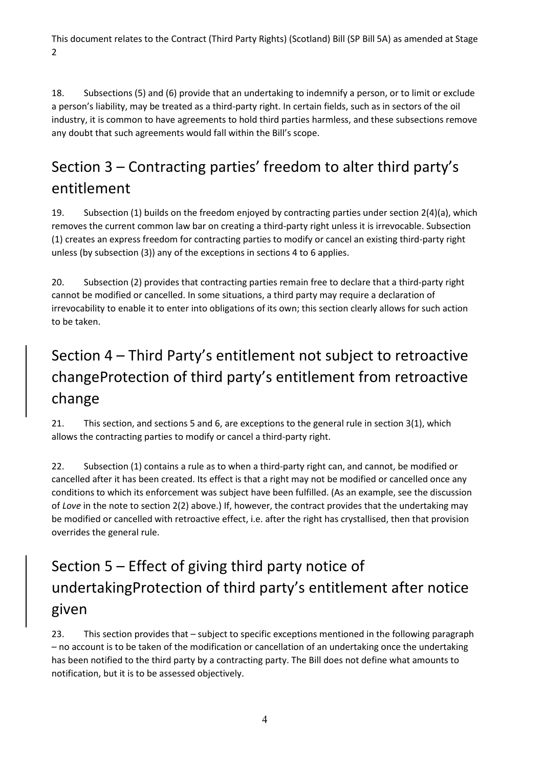18. Subsections (5) and (6) provide that an undertaking to indemnify a person, or to limit or exclude a person's liability, may be treated as a third-party right. In certain fields, such as in sectors of the oil industry, it is common to have agreements to hold third parties harmless, and these subsections remove any doubt that such agreements would fall within the Bill's scope.

## Section 3 – Contracting parties' freedom to alter third party's entitlement

 19. Subsection (1) builds on the freedom enjoyed by contracting parties under section 2(4)(a), which unless (by subsection (3)) any of the exceptions in sections 4 to 6 applies. removes the current common law bar on creating a third-party right unless it is irrevocable. Subsection (1) creates an express freedom for contracting parties to modify or cancel an existing third-party right

 20. Subsection (2) provides that contracting parties remain free to declare that a third-party right to be taken. cannot be modified or cancelled. In some situations, a third party may require a declaration of irrevocability to enable it to enter into obligations of its own; this section clearly allows for such action

## Section 4 – Third Party's entitlement not subject to retroactive changeProtection of third party's entitlement from retroactive change

 21. This section, and sections 5 and 6, are exceptions to the general rule in section 3(1), which allows the contracting parties to modify or cancel a third-party right.

 22. Subsection (1) contains a rule as to when a third-party right can, and cannot, be modified or cancelled after it has been created. Its effect is that a right may not be modified or cancelled once any be modified or cancelled with retroactive effect, i.e. after the right has crystallised, then that provision conditions to which its enforcement was subject have been fulfilled. (As an example, see the discussion of *Love* in the note to section 2(2) above.) If, however, the contract provides that the undertaking may overrides the general rule.

## Section 5 – Effect of giving third party notice of undertakingProtection of third party's entitlement after notice given

 has been notified to the third party by a contracting party. The Bill does not define what amounts to 23. This section provides that – subject to specific exceptions mentioned in the following paragraph – no account is to be taken of the modification or cancellation of an undertaking once the undertaking notification, but it is to be assessed objectively.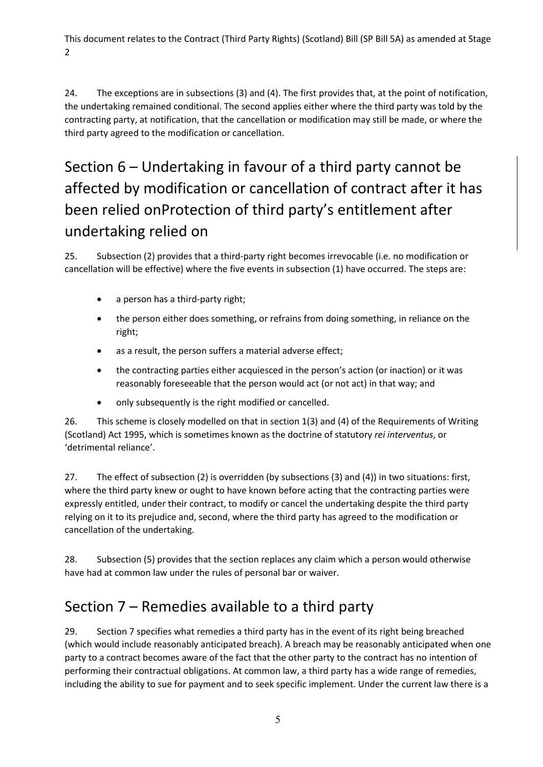the undertaking remained conditional. The second applies either where the third party was told by the contracting party, at notification, that the cancellation or modification may still be made, or where the third party agreed to the modification or cancellation. 24. The exceptions are in subsections (3) and (4). The first provides that, at the point of notification,

### Section 6 – Undertaking in favour of a third party cannot be affected by modification or cancellation of contract after it has been relied onProtection of third party's entitlement after undertaking relied on

 25. Subsection (2) provides that a third-party right becomes irrevocable (i.e. no modification or cancellation will be effective) where the five events in subsection (1) have occurred. The steps are:

- a person has a third-party right;
- • the person either does something, or refrains from doing something, in reliance on the right;
- as a result, the person suffers a material adverse effect;
- • the contracting parties either acquiesced in the person's action (or inaction) or it was reasonably foreseeable that the person would act (or not act) in that way; and
- only subsequently is the right modified or cancelled.

 26. This scheme is closely modelled on that in section 1(3) and (4) of the Requirements of Writing (Scotland) Act 1995, which is sometimes known as the doctrine of statutory *rei interventus*, or 'detrimental reliance'.

 27. The effect of subsection (2) is overridden (by subsections (3) and (4)) in two situations: first, where the third party knew or ought to have known before acting that the contracting parties were expressly entitled, under their contract, to modify or cancel the undertaking despite the third party relying on it to its prejudice and, second, where the third party has agreed to the modification or cancellation of the undertaking.

 28. Subsection (5) provides that the section replaces any claim which a person would otherwise have had at common law under the rules of personal bar or waiver.

#### Section 7 – Remedies available to a third party

 29. Section 7 specifies what remedies a third party has in the event of its right being breached (which would include reasonably anticipated breach). A breach may be reasonably anticipated when one including the ability to sue for payment and to seek specific implement. Under the current law there is a party to a contract becomes aware of the fact that the other party to the contract has no intention of performing their contractual obligations. At common law, a third party has a wide range of remedies,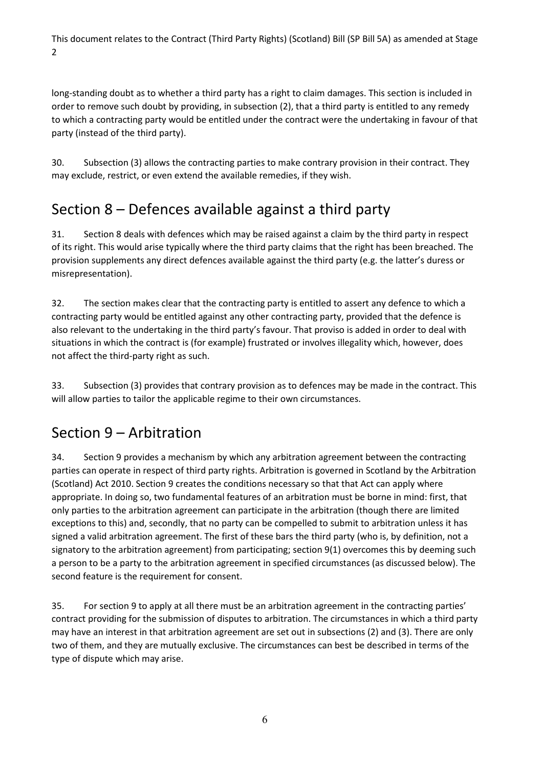party (instead of the third party). long-standing doubt as to whether a third party has a right to claim damages. This section is included in order to remove such doubt by providing, in subsection (2), that a third party is entitled to any remedy to which a contracting party would be entitled under the contract were the undertaking in favour of that

 30. Subsection (3) allows the contracting parties to make contrary provision in their contract. They may exclude, restrict, or even extend the available remedies, if they wish.

#### Section 8 – Defences available against a third party

 of its right. This would arise typically where the third party claims that the right has been breached. The provision supplements any direct defences available against the third party (e.g. the latter's duress or 31. Section 8 deals with defences which may be raised against a claim by the third party in respect misrepresentation).

32. The section makes clear that the contracting party is entitled to assert any defence to which a contracting party would be entitled against any other contracting party, provided that the defence is also relevant to the undertaking in the third party's favour. That proviso is added in order to deal with situations in which the contract is (for example) frustrated or involves illegality which, however, does not affect the third-party right as such.

 33. Subsection (3) provides that contrary provision as to defences may be made in the contract. This will allow parties to tailor the applicable regime to their own circumstances.

### Section 9 – Arbitration

 parties can operate in respect of third party rights. Arbitration is governed in Scotland by the Arbitration only parties to the arbitration agreement can participate in the arbitration (though there are limited exceptions to this) and, secondly, that no party can be compelled to submit to arbitration unless it has signatory to the arbitration agreement) from participating; section 9(1) overcomes this by deeming such 34. Section 9 provides a mechanism by which any arbitration agreement between the contracting (Scotland) Act 2010. Section 9 creates the conditions necessary so that that Act can apply where appropriate. In doing so, two fundamental features of an arbitration must be borne in mind: first, that signed a valid arbitration agreement. The first of these bars the third party (who is, by definition, not a a person to be a party to the arbitration agreement in specified circumstances (as discussed below). The second feature is the requirement for consent.

 type of dispute which may arise. 35. For section 9 to apply at all there must be an arbitration agreement in the contracting parties' contract providing for the submission of disputes to arbitration. The circumstances in which a third party may have an interest in that arbitration agreement are set out in subsections (2) and (3). There are only two of them, and they are mutually exclusive. The circumstances can best be described in terms of the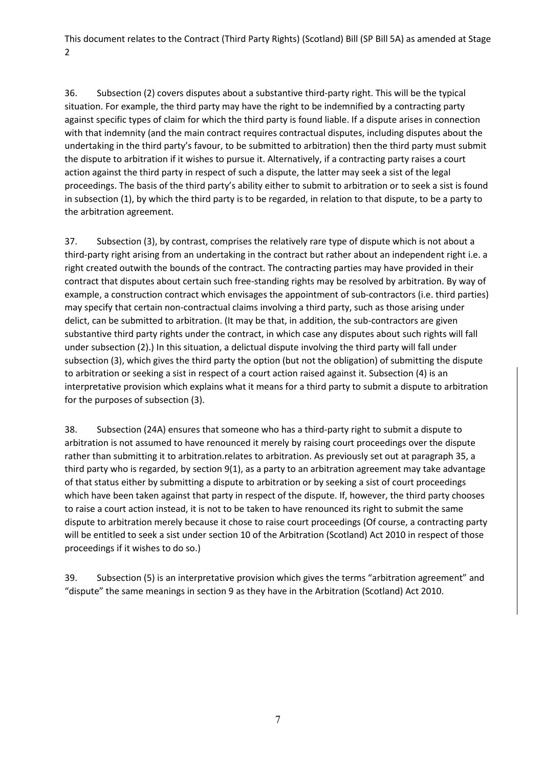situation. For example, the third party may have the right to be indemnified by a contracting party undertaking in the third party's favour, to be submitted to arbitration) then the third party must submit in subsection (1), by which the third party is to be regarded, in relation to that dispute, to be a party to 36. Subsection (2) covers disputes about a substantive third-party right. This will be the typical against specific types of claim for which the third party is found liable. If a dispute arises in connection with that indemnity (and the main contract requires contractual disputes, including disputes about the the dispute to arbitration if it wishes to pursue it. Alternatively, if a contracting party raises a court action against the third party in respect of such a dispute, the latter may seek a sist of the legal proceedings. The basis of the third party's ability either to submit to arbitration or to seek a sist is found the arbitration agreement.

 37. Subsection (3), by contrast, comprises the relatively rare type of dispute which is not about a contract that disputes about certain such free-standing rights may be resolved by arbitration. By way of subsection (3), which gives the third party the option (but not the obligation) of submitting the dispute for the purposes of subsection (3). third-party right arising from an undertaking in the contract but rather about an independent right i.e. a right created outwith the bounds of the contract. The contracting parties may have provided in their example, a construction contract which envisages the appointment of sub-contractors (i.e. third parties) may specify that certain non-contractual claims involving a third party, such as those arising under delict, can be submitted to arbitration. (It may be that, in addition, the sub-contractors are given substantive third party rights under the contract, in which case any disputes about such rights will fall under subsection (2).) In this situation, a delictual dispute involving the third party will fall under to arbitration or seeking a sist in respect of a court action raised against it. Subsection (4) is an interpretative provision which explains what it means for a third party to submit a dispute to arbitration

 38. Subsection (24A) ensures that someone who has a third-party right to submit a dispute to third party who is regarded, by section 9(1), as a party to an arbitration agreement may take advantage to raise a court action instead, it is not to be taken to have renounced its right to submit the same will be entitled to seek a sist under section 10 of the Arbitration (Scotland) Act 2010 in respect of those arbitration is not assumed to have renounced it merely by raising court proceedings over the dispute rather than submitting it to arbitration.relates to arbitration. As previously set out at paragraph 35, a of that status either by submitting a dispute to arbitration or by seeking a sist of court proceedings which have been taken against that party in respect of the dispute. If, however, the third party chooses dispute to arbitration merely because it chose to raise court proceedings (Of course, a contracting party proceedings if it wishes to do so.)

 "dispute" the same meanings in section 9 as they have in the Arbitration (Scotland) Act 2010. 39. Subsection (5) is an interpretative provision which gives the terms "arbitration agreement" and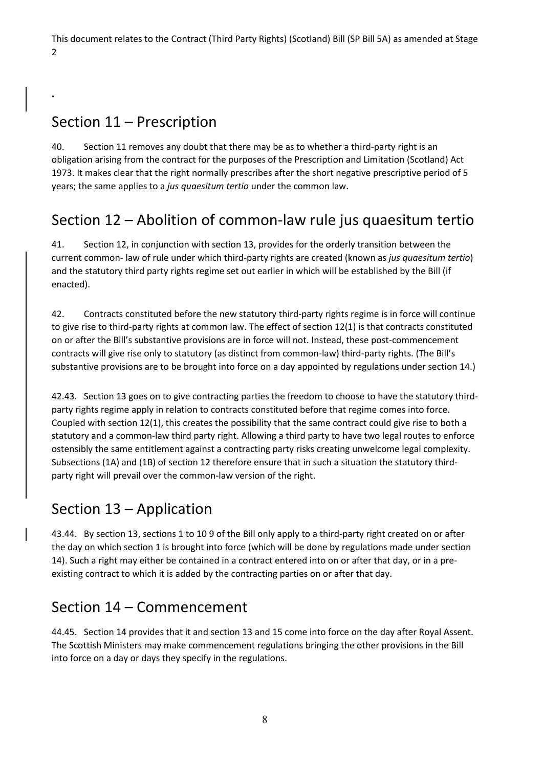#### Section 11 – Prescription

**.** 

 obligation arising from the contract for the purposes of the Prescription and Limitation (Scotland) Act 1973. It makes clear that the right normally prescribes after the short negative prescriptive period of 5 40. Section 11 removes any doubt that there may be as to whether a third-party right is an years; the same applies to a *jus quaesitum tertio* under the common law.

#### Section 12 – Abolition of common-law rule jus quaesitum tertio

 current common- law of rule under which third-party rights are created (known as *jus quaesitum tertio*) and the statutory third party rights regime set out earlier in which will be established by the Bill (if 41. Section 12, in conjunction with section 13, provides for the orderly transition between the enacted).

42. Contracts constituted before the new statutory third-party rights regime is in force will continue to give rise to third-party rights at common law. The effect of section 12(1) is that contracts constituted on or after the Bill's substantive provisions are in force will not. Instead, these post-commencement contracts will give rise only to statutory (as distinct from common-law) third-party rights. (The Bill's substantive provisions are to be brought into force on a day appointed by regulations under section 14.)

 statutory and a common-law third party right. Allowing a third party to have two legal routes to enforce ostensibly the same entitlement against a contracting party risks creating unwelcome legal complexity. Subsections (1A) and (1B) of section 12 therefore ensure that in such a situation the statutory third-42.43. Section 13 goes on to give contracting parties the freedom to choose to have the statutory thirdparty rights regime apply in relation to contracts constituted before that regime comes into force. Coupled with section 12(1), this creates the possibility that the same contract could give rise to both a party right will prevail over the common-law version of the right.

#### Section 13 – Application

 43.44. By section 13, sections 1 to 10 9 of the Bill only apply to a third-party right created on or after the day on which section 1 is brought into force (which will be done by regulations made under section 14). Such a right may either be contained in a contract entered into on or after that day, or in a pre-existing contract to which it is added by the contracting parties on or after that day.

#### Section 14 – Commencement

 44.45. Section 14 provides that it and section 13 and 15 come into force on the day after Royal Assent. The Scottish Ministers may make commencement regulations bringing the other provisions in the Bill into force on a day or days they specify in the regulations.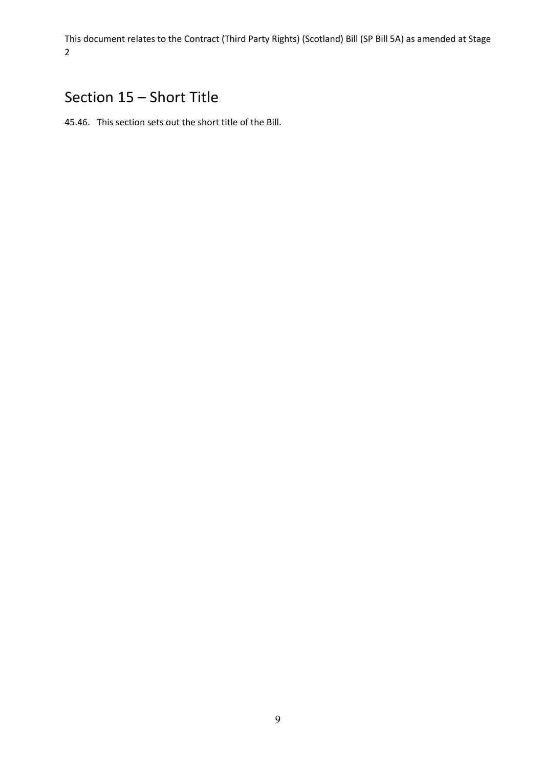#### Section 15 – Short Title

45.46. This section sets out the short title of the Bill.